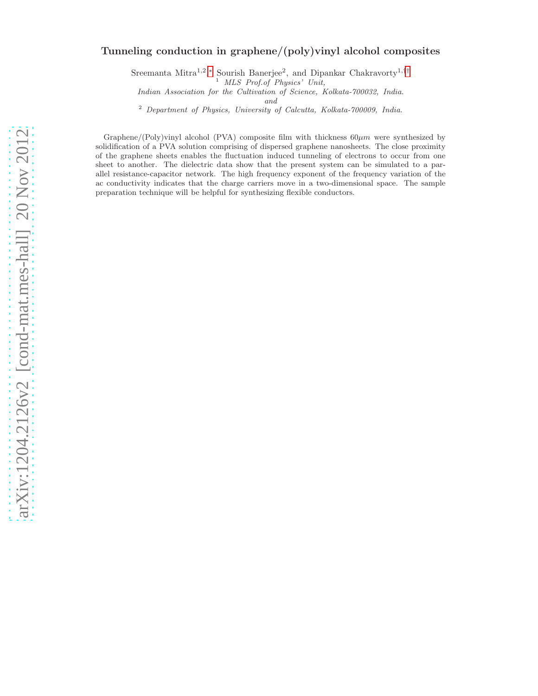# arXiv:1204.2126v2 [cond-mat.mes-hall] 20 Nov 2012 [arXiv:1204.2126v2 \[cond-mat.mes-hall\] 20 Nov 2012](http://arxiv.org/abs/1204.2126v2)

# Tunneling conduction in graphene/(poly)vinyl alcohol composites

Sreemanta Mitra<sup>1,2</sup>,\* Sourish Banerjee<sup>2</sup>, and Dipankar Chakravorty<sup>1,[††](#page-7-1)</sup>

<sup>1</sup> MLS Prof.of Physics' Unit,

Indian Association for the Cultivation of Science, Kolkata-700032, India.

and

<sup>2</sup> Department of Physics, University of Calcutta, Kolkata-700009, India.

Graphene/(Poly)vinyl alcohol (PVA) composite film with thickness  $60 \mu m$  were synthesized by solidification of a PVA solution comprising of dispersed graphene nanosheets. The close proximity of the graphene sheets enables the fluctuation induced tunneling of electrons to occur from one sheet to another. The dielectric data show that the present system can be simulated to a parallel resistance-capacitor network. The high frequency exponent of the frequency variation of the ac conductivity indicates that the charge carriers move in a two-dimensional space. The sample preparation technique will be helpful for synthesizing flexible conductors.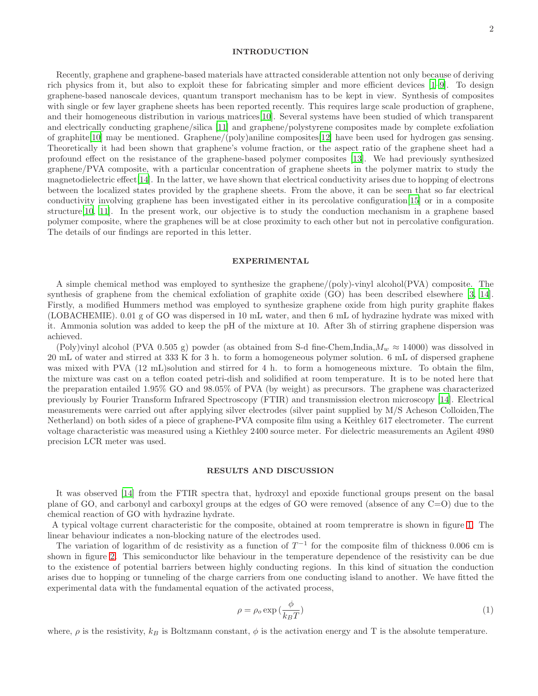# INTRODUCTION

Recently, graphene and graphene-based materials have attracted considerable attention not only because of deriving rich physics from it, but also to exploit these for fabricating simpler and more efficient devices [\[1](#page-7-2)[–9\]](#page-7-3). To design graphene-based nanoscale devices, quantum transport mechanism has to be kept in view. Synthesis of composites with single or few layer graphene sheets has been reported recently. This requires large scale production of graphene, and their homogeneous distribution in various matrices[\[10](#page-7-4)]. Several systems have been studied of which transparent and electrically conducting graphene/silica [\[11\]](#page-7-5) and graphene/polystyrene composites made by complete exfoliation of graphite[\[10\]](#page-7-4) may be mentioned. Graphene/(poly)aniline composites[\[12\]](#page-7-6) have been used for hydrogen gas sensing. Theoretically it had been shown that graphene's volume fraction, or the aspect ratio of the graphene sheet had a profound effect on the resistance of the graphene-based polymer composites [\[13\]](#page-7-7). We had previously synthesized graphene/PVA composite, with a particular concentration of graphene sheets in the polymer matrix to study the magnetodielectric effect[\[14\]](#page-7-8). In the latter, we have shown that electrical conductivity arises due to hopping of electrons between the localized states provided by the graphene sheets. From the above, it can be seen that so far electrical conductivity involving graphene has been investigated either in its percolative configuration[\[15\]](#page-7-9) or in a composite structure[\[10](#page-7-4), [11](#page-7-5)]. In the present work, our objective is to study the conduction mechanism in a graphene based polymer composite, where the graphenes will be at close proximity to each other but not in percolative configuration. The details of our findings are reported in this letter.

# EXPERIMENTAL

A simple chemical method was employed to synthesize the graphene/(poly)-vinyl alcohol(PVA) composite. The synthesis of graphene from the chemical exfoliation of graphite oxide (GO) has been described elsewhere [\[3](#page-7-10), [14\]](#page-7-8). Firstly, a modified Hummers method was employed to synthesize graphene oxide from high purity graphite flakes (LOBACHEMIE). 0.01 g of GO was dispersed in 10 mL water, and then 6 mL of hydrazine hydrate was mixed with it. Ammonia solution was added to keep the pH of the mixture at 10. After 3h of stirring graphene dispersion was achieved.

(Poly)vinyl alcohol (PVA 0.505 g) powder (as obtained from S-d fine-Chem,India, $M_w \approx 14000$ ) was dissolved in 20 mL of water and stirred at 333 K for 3 h. to form a homogeneous polymer solution. 6 mL of dispersed graphene was mixed with PVA (12 mL)solution and stirred for 4 h. to form a homogeneous mixture. To obtain the film, the mixture was cast on a teflon coated petri-dish and solidified at room temperature. It is to be noted here that the preparation entailed 1.95% GO and 98.05% of PVA (by weight) as precursors. The graphene was characterized previously by Fourier Transform Infrared Spectroscopy (FTIR) and transmission electron microscopy [\[14](#page-7-8)]. Electrical measurements were carried out after applying silver electrodes (silver paint supplied by M/S Acheson Colloiden,The Netherland) on both sides of a piece of graphene-PVA composite film using a Keithley 617 electrometer. The current voltage characteristic was measured using a Kiethley 2400 source meter. For dielectric measurements an Agilent 4980 precision LCR meter was used.

### RESULTS AND DISCUSSION

It was observed [\[14\]](#page-7-8) from the FTIR spectra that, hydroxyl and epoxide functional groups present on the basal plane of GO, and carbonyl and carboxyl groups at the edges of GO were removed (absence of any C=O) due to the chemical reaction of GO with hydrazine hydrate.

A typical voltage current characteristic for the composite, obtained at room tempreratre is shown in figure [1.](#page-2-0) The linear behaviour indicates a non-blocking nature of the electrodes used.

The variation of logarithm of dc resistivity as a function of  $T^{-1}$  for the composite film of thickness 0.006 cm is shown in figure [2.](#page-2-1) This semiconductor like behaviour in the temperature dependence of the resistivity can be due to the existence of potential barriers between highly conducting regions. In this kind of situation the conduction arises due to hopping or tunneling of the charge carriers from one conducting island to another. We have fitted the experimental data with the fundamental equation of the activated process,

<span id="page-1-0"></span>
$$
\rho = \rho_o \exp\left(\frac{\phi}{k_B T}\right) \tag{1}
$$

where,  $\rho$  is the resistivity,  $k_B$  is Boltzmann constant,  $\phi$  is the activation energy and T is the absolute temperature.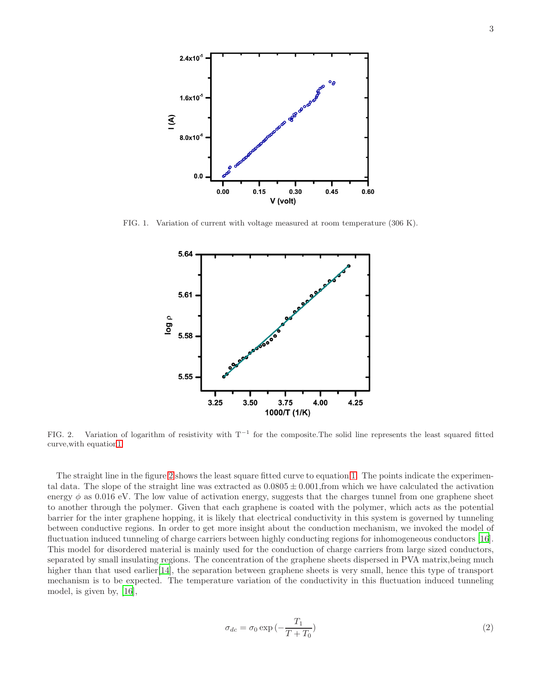

FIG. 1. Variation of current with voltage measured at room temperature (306 K).

<span id="page-2-0"></span>

<span id="page-2-1"></span>FIG. 2. Variation of logarithm of resistivity with  $T^{-1}$  for the composite. The solid line represents the least squared fitted curve,with equatio[n1.](#page-1-0)

<span id="page-2-2"></span>The straight line in the figure [2](#page-2-1) shows the least square fitted curve to equation [1.](#page-1-0) The points indicate the experimental data. The slope of the straight line was extracted as  $0.0805 \pm 0.001$ , from which we have calculated the activation energy  $\phi$  as 0.016 eV. The low value of activation energy, suggests that the charges tunnel from one graphene sheet to another through the polymer. Given that each graphene is coated with the polymer, which acts as the potential barrier for the inter graphene hopping, it is likely that electrical conductivity in this system is governed by tunneling between conductive regions. In order to get more insight about the conduction mechanism, we invoked the model of fluctuation induced tunneling of charge carriers between highly conducting regions for inhomogeneous conductors [\[16\]](#page-7-11). This model for disordered material is mainly used for the conduction of charge carriers from large sized conductors, separated by small insulating regions. The concentration of the graphene sheets dispersed in PVA matrix,being much higher than that used earlier<sup>[\[14\]](#page-7-8)</sup>, the separation between graphene sheets is very small, hence this type of transport mechanism is to be expected. The temperature variation of the conductivity in this fluctuation induced tunneling model, is given by, [\[16\]](#page-7-11),

$$
\sigma_{dc} = \sigma_0 \exp\left(-\frac{T_1}{T+T_0}\right) \tag{2}
$$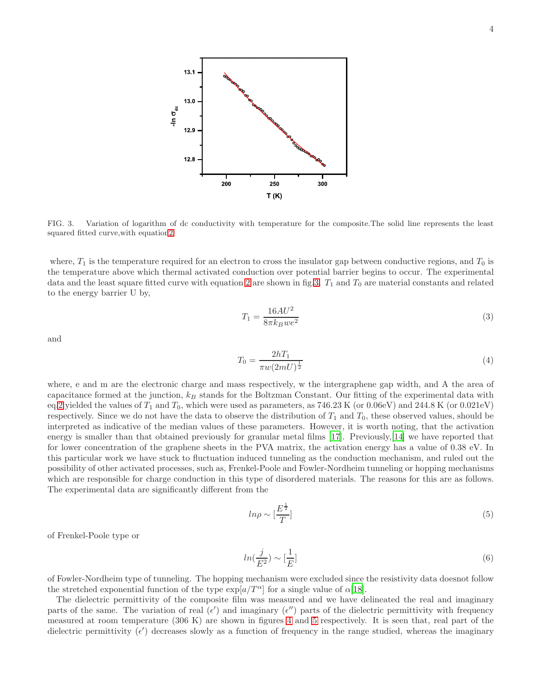

<span id="page-3-0"></span>FIG. 3. Variation of logarithm of dc conductivity with temperature for the composite.The solid line represents the least squared fitted curve,with equatio[n2.](#page-2-2)

where,  $T_1$  is the temperature required for an electron to cross the insulator gap between conductive regions, and  $T_0$  is the temperature above which thermal activated conduction over potential barrier begins to occur. The experimental data and the least square fitted curve with equation [2](#page-2-2) are shown in fig[.3.](#page-3-0)  $T_1$  and  $T_0$  are material constants and related to the energy barrier U by,

$$
T_1 = \frac{16AU^2}{8\pi k_B w e^2} \tag{3}
$$

and

$$
T_0 = \frac{2hT_1}{\pi w (2mU)^{\frac{1}{2}}} \tag{4}
$$

where, e and m are the electronic charge and mass respectively, w the intergraphene gap width, and A the area of capacitance formed at the junction,  $k_B$  stands for the Boltzman Constant. Our fitting of the experimental data with eq[.2](#page-2-2) yielded the values of  $T_1$  and  $T_0$ , which were used as parameters, as 746.23 K (or 0.06eV) and 244.8 K (or 0.021eV) respectively. Since we do not have the data to observe the distribution of  $T_1$  and  $T_0$ , these observed values, should be interpreted as indicative of the median values of these parameters. However, it is worth noting, that the activation energy is smaller than that obtained previously for granular metal films [\[17](#page-7-12)]. Previously,[\[14\]](#page-7-8) we have reported that for lower concentration of the graphene sheets in the PVA matrix, the activation energy has a value of 0.38 eV. In this particular work we have stuck to fluctuation induced tunneling as the conduction mechanism, and ruled out the possibility of other activated processes, such as, Frenkel-Poole and Fowler-Nordheim tunneling or hopping mechanisms which are responsible for charge conduction in this type of disordered materials. The reasons for this are as follows. The experimental data are significantly different from the

$$
ln \rho \sim \left[\frac{E^{\frac{1}{2}}}{T}\right]
$$
\n<sup>(5)</sup>

of Frenkel-Poole type or

$$
ln(\frac{j}{E^2}) \sim [\frac{1}{E}]
$$
\n(6)

of Fowler-Nordheim type of tunneling. The hopping mechanism were excluded since the resistivity data doesnot follow the stretched exponential function of the type  $\exp[a/T^{\alpha}]$  for a single value of  $\alpha$ [\[18](#page-7-13)].

The dielectric permittivity of the composite film was measured and we have delineated the real and imaginary parts of the same. The variation of real  $(\epsilon')$  and imaginary  $(\epsilon'')$  parts of the dielectric permittivity with frequency measured at room temperature (306 K) are shown in figures [4](#page-4-0) and [5](#page-4-1) respectively. It is seen that, real part of the dielectric permittivity  $(\epsilon')$  decreases slowly as a function of frequency in the range studied, whereas the imaginary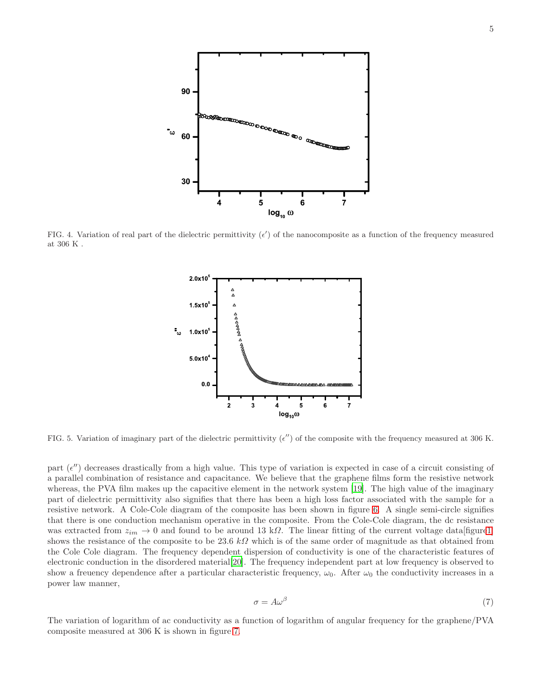

<span id="page-4-0"></span>FIG. 4. Variation of real part of the dielectric permittivity  $(\epsilon')$  of the nanocomposite as a function of the frequency measured at 306 K .



<span id="page-4-1"></span>FIG. 5. Variation of imaginary part of the dielectric permittivity  $(\epsilon'')$  of the composite with the frequency measured at 306 K.

part  $(\epsilon'')$  decreases drastically from a high value. This type of variation is expected in case of a circuit consisting of a parallel combination of resistance and capacitance. We believe that the graphene films form the resistive network whereas, the PVA film makes up the capacitive element in the network system [\[19](#page-7-14)]. The high value of the imaginary part of dielectric permittivity also signifies that there has been a high loss factor associated with the sample for a resistive network. A Cole-Cole diagram of the composite has been shown in figure [6.](#page-5-0) A single semi-circle signifies that there is one conduction mechanism operative in the composite. From the Cole-Cole diagram, the dc resistance was extracted from  $z_{im} \to 0$  and found to be around 13 kΩ. The linear fitting of the current voltage data [figur[e1\]](#page-2-0) shows the resistance of the composite to be 23.6 kQ which is of the same order of magnitude as that obtained from the Cole Cole diagram. The frequency dependent dispersion of conductivity is one of the characteristic features of electronic conduction in the disordered material[\[20\]](#page-7-15). The frequency independent part at low frequency is observed to show a freuency dependence after a particular characteristic frequency,  $\omega_0$ . After  $\omega_0$  the conductivity increases in a power law manner,

$$
\sigma = A\omega^{\beta} \tag{7}
$$

The variation of logarithm of ac conductivity as a function of logarithm of angular frequency for the graphene/PVA composite measured at 306 K is shown in figure [7.](#page-5-1)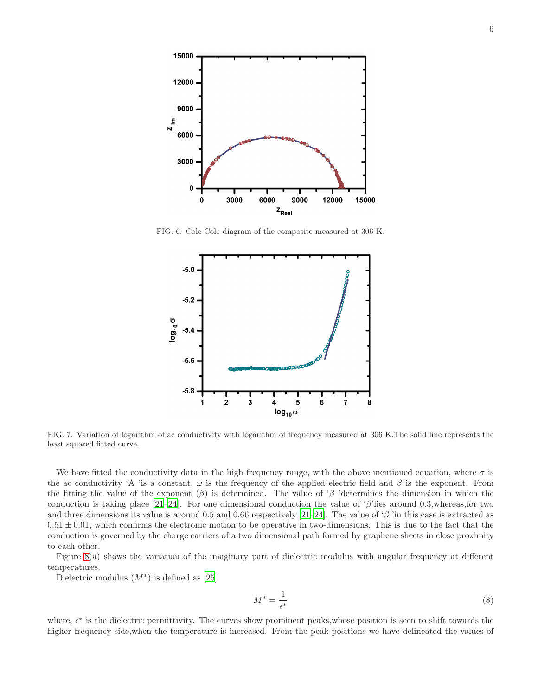

FIG. 6. Cole-Cole diagram of the composite measured at 306 K.

<span id="page-5-0"></span>

<span id="page-5-1"></span>FIG. 7. Variation of logarithm of ac conductivity with logarithm of frequency measured at 306 K.The solid line represents the least squared fitted curve.

We have fitted the conductivity data in the high frequency range, with the above mentioned equation, where  $\sigma$  is the ac conductivity 'A 'is a constant,  $\omega$  is the frequency of the applied electric field and  $\beta$  is the exponent. From the fitting the value of the exponent  $(\beta)$  is determined. The value of ' $\beta$  'determines the dimension in which the conduction is taking place  $[21-24]$  $[21-24]$ . For one dimensional conduction the value of 'β'lies around 0.3,whereas,for two and three dimensions its value is around 0.5 and 0.66 respectively [\[21](#page-7-16)[–24\]](#page-7-17). The value of ' $\beta$  'in this case is extracted as  $0.51 \pm 0.01$ , which confirms the electronic motion to be operative in two-dimensions. This is due to the fact that the conduction is governed by the charge carriers of a two dimensional path formed by graphene sheets in close proximity to each other.

Figure [8\(](#page-6-0)a) shows the variation of the imaginary part of dielectric modulus with angular frequency at different temperatures.

Dielectric modulus  $(M^*)$  is defined as [\[25\]](#page-7-18)

$$
M^* = \frac{1}{\epsilon^*} \tag{8}
$$

where,  $\epsilon^*$  is the dielectric permittivity. The curves show prominent peaks, whose position is seen to shift towards the higher frequency side,when the temperature is increased. From the peak positions we have delineated the values of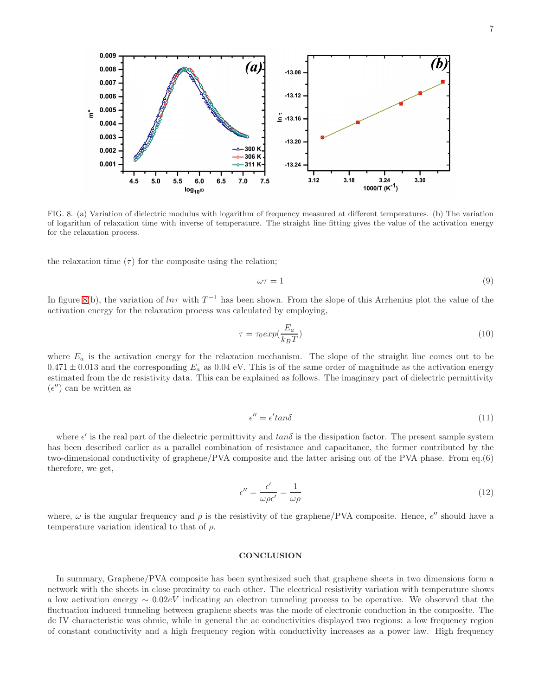0.009 b **(a** 0.008  $-13.08$ 0.007  $-13.12$ 0.006  $0.005$ ້ະ  $\stackrel{1}{=}$  -13.16 0.004 0.003  $-13.20$ 300 K 0.002 -306 K  $0.001$  $-311K$  $-13.24$  $3.12$  $3.18$ 3.24 3.30 4.5  $5.0$ 5.5  $6.0$ 6.5  $7.0$  $7.5$ 1000/T (K<sup>-1</sup>)  $\log_{10} \omega$ 

<span id="page-6-0"></span>FIG. 8. (a) Variation of dielectric modulus with logarithm of frequency measured at different temperatures. (b) The variation of logarithm of relaxation time with inverse of temperature. The straight line fitting gives the value of the activation energy for the relaxation process.

the relaxation time  $(\tau)$  for the composite using the relation;

$$
\omega \tau = 1 \tag{9}
$$

In figure [8\(](#page-6-0)b), the variation of  $ln\tau$  with  $T^{-1}$  has been shown. From the slope of this Arrhenius plot the value of the activation energy for the relaxation process was calculated by employing,

$$
\tau = \tau_0 exp(\frac{E_a}{k_B T})\tag{10}
$$

where  $E_a$  is the activation energy for the relaxation mechanism. The slope of the straight line comes out to be  $0.471 \pm 0.013$  and the corresponding  $E_a$  as  $0.04$  eV. This is of the same order of magnitude as the activation energy estimated from the dc resistivity data. This can be explained as follows. The imaginary part of dielectric permittivity  $(\epsilon'')$  can be written as

$$
\epsilon'' = \epsilon' \tan \delta \tag{11}
$$

where  $\epsilon'$  is the real part of the dielectric permittivity and  $tan\delta$  is the dissipation factor. The present sample system has been described earlier as a parallel combination of resistance and capacitance, the former contributed by the two-dimensional conductivity of graphene/PVA composite and the latter arising out of the PVA phase. From eq.(6) therefore, we get,

$$
\epsilon'' = \frac{\epsilon'}{\omega \rho \epsilon'} = \frac{1}{\omega \rho} \tag{12}
$$

where,  $\omega$  is the angular frequency and  $\rho$  is the resistivity of the graphene/PVA composite. Hence,  $\epsilon''$  should have a temperature variation identical to that of  $\rho$ .

## **CONCLUSION**

In summary, Graphene/PVA composite has been synthesized such that graphene sheets in two dimensions form a network with the sheets in close proximity to each other. The electrical resistivity variation with temperature shows a low activation energy ∼ 0.02eV indicating an electron tunneling process to be operative. We observed that the fluctuation induced tunneling between graphene sheets was the mode of electronic conduction in the composite. The dc IV characteristic was ohmic, while in general the ac conductivities displayed two regions: a low frequency region of constant conductivity and a high frequency region with conductivity increases as a power law. High frequency